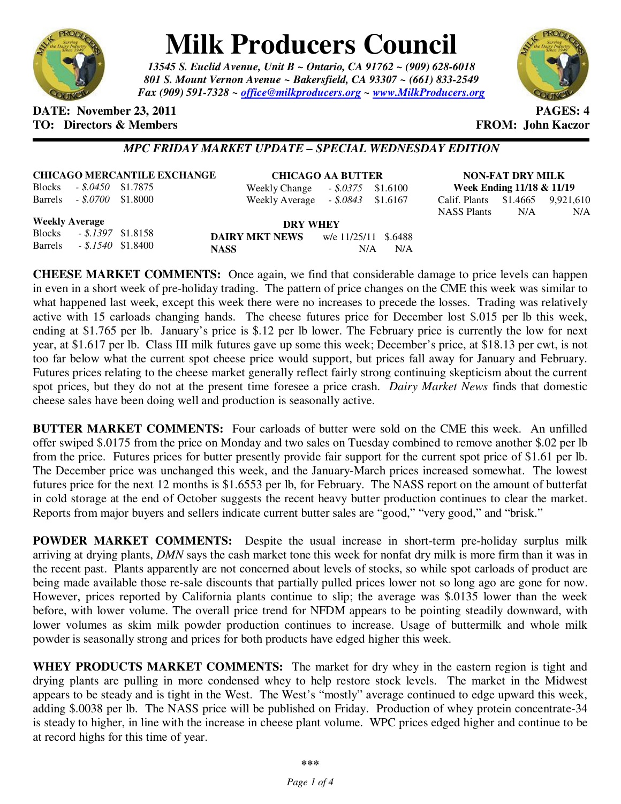

# **Milk Producers Council**

*13545 S. Euclid Avenue, Unit B ~ Ontario, CA 91762 ~ (909) 628-6018 801 S. Mount Vernon Avenue ~ Bakersfield, CA 93307 ~ (661) 833-2549 Fax (909) 591-7328 ~ office@milkproducers.org ~ www.MilkProducers.org*



#### **DATE:** November 23, 2011 **PAGES:** 4 **TO: Directors & Members FROM: John Kaczor**

#### *MPC FRIDAY MARKET UPDATE – SPECIAL WEDNESDAY EDITION*

| <b>CHICAGO MERCANTILE EXCHANGE</b> |  |  |
|------------------------------------|--|--|
|                                    |  |  |

Blocks *- \$.0450* \$1.7875 Barrels *- \$.0700* \$1.8000

**CHICAGO AA BUTTER** Weekly Change *- \$.0375* \$1.6100

Weekly Average *- \$.0843* \$1.6167

**NON-FAT DRY MILK Week Ending 11/18 & 11/19**  Calif. Plants \$1.4665 9,921,610 NASS Plants N/A N/A

**Weekly Average**

| <i><b>ITUCKLY IXTULUE</b></i> |                       |  |
|-------------------------------|-----------------------|--|
| <b>Blocks</b>                 | $-.5.1397$ \$1.8158   |  |
| <b>Barrels</b>                | $-.$ \$.1540 \$1.8400 |  |

**DRY WHEY DAIRY MKT NEWS** w/e 11/25/11 \$.6488 **NASS** N/A N/A

**CHEESE MARKET COMMENTS:** Once again, we find that considerable damage to price levels can happen in even in a short week of pre-holiday trading. The pattern of price changes on the CME this week was similar to what happened last week, except this week there were no increases to precede the losses. Trading was relatively active with 15 carloads changing hands. The cheese futures price for December lost \$.015 per lb this week, ending at \$1.765 per lb. January's price is \$.12 per lb lower. The February price is currently the low for next year, at \$1.617 per lb. Class III milk futures gave up some this week; December's price, at \$18.13 per cwt, is not too far below what the current spot cheese price would support, but prices fall away for January and February. Futures prices relating to the cheese market generally reflect fairly strong continuing skepticism about the current spot prices, but they do not at the present time foresee a price crash. *Dairy Market News* finds that domestic cheese sales have been doing well and production is seasonally active.

**BUTTER MARKET COMMENTS:** Four carloads of butter were sold on the CME this week. An unfilled offer swiped \$.0175 from the price on Monday and two sales on Tuesday combined to remove another \$.02 per lb from the price. Futures prices for butter presently provide fair support for the current spot price of \$1.61 per lb. The December price was unchanged this week, and the January-March prices increased somewhat. The lowest futures price for the next 12 months is \$1.6553 per lb, for February. The NASS report on the amount of butterfat in cold storage at the end of October suggests the recent heavy butter production continues to clear the market. Reports from major buyers and sellers indicate current butter sales are "good," "very good," and "brisk."

**POWDER MARKET COMMENTS:** Despite the usual increase in short-term pre-holiday surplus milk arriving at drying plants, *DMN* says the cash market tone this week for nonfat dry milk is more firm than it was in the recent past. Plants apparently are not concerned about levels of stocks, so while spot carloads of product are being made available those re-sale discounts that partially pulled prices lower not so long ago are gone for now. However, prices reported by California plants continue to slip; the average was \$.0135 lower than the week before, with lower volume. The overall price trend for NFDM appears to be pointing steadily downward, with lower volumes as skim milk powder production continues to increase. Usage of buttermilk and whole milk powder is seasonally strong and prices for both products have edged higher this week.

**WHEY PRODUCTS MARKET COMMENTS:** The market for dry whey in the eastern region is tight and drying plants are pulling in more condensed whey to help restore stock levels. The market in the Midwest appears to be steady and is tight in the West. The West's "mostly" average continued to edge upward this week, adding \$.0038 per lb. The NASS price will be published on Friday. Production of whey protein concentrate-34 is steady to higher, in line with the increase in cheese plant volume. WPC prices edged higher and continue to be at record highs for this time of year.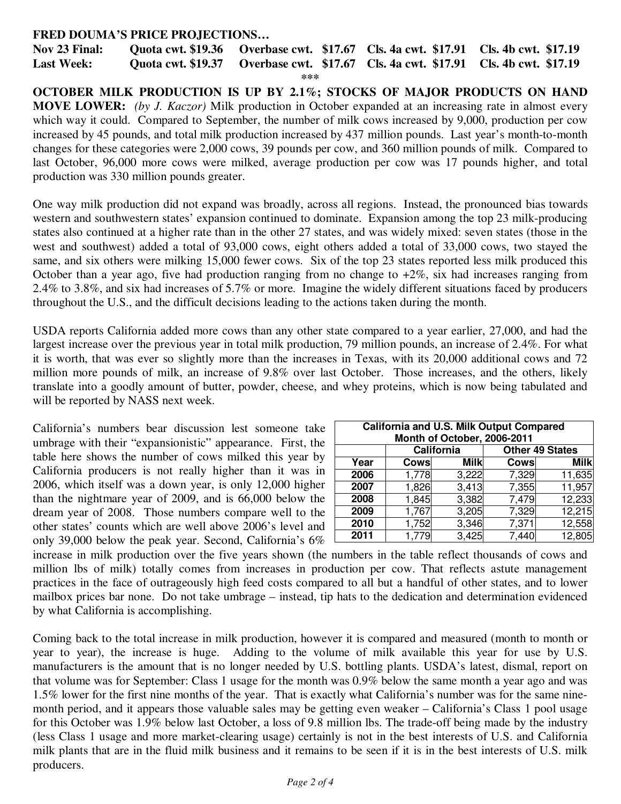#### **FRED DOUMA'S PRICE PROJECTIONS…**

**Nov 23 Final: Quota cwt. \$19.36 Overbase cwt. \$17.67 Cls. 4a cwt. \$17.91 Cls. 4b cwt. \$17.19 Last Week: Quota cwt. \$19.37 Overbase cwt. \$17.67 Cls. 4a cwt. \$17.91 Cls. 4b cwt. \$17.19 \*\*\*** 

**OCTOBER MILK PRODUCTION IS UP BY 2.1%; STOCKS OF MAJOR PRODUCTS ON HAND MOVE LOWER:** *(by J. Kaczor)* Milk production in October expanded at an increasing rate in almost every which way it could. Compared to September, the number of milk cows increased by 9,000, production per cow increased by 45 pounds, and total milk production increased by 437 million pounds. Last year's month-to-month changes for these categories were 2,000 cows, 39 pounds per cow, and 360 million pounds of milk. Compared to last October, 96,000 more cows were milked, average production per cow was 17 pounds higher, and total production was 330 million pounds greater.

One way milk production did not expand was broadly, across all regions. Instead, the pronounced bias towards western and southwestern states' expansion continued to dominate. Expansion among the top 23 milk-producing states also continued at a higher rate than in the other 27 states, and was widely mixed: seven states (those in the west and southwest) added a total of 93,000 cows, eight others added a total of 33,000 cows, two stayed the same, and six others were milking 15,000 fewer cows. Six of the top 23 states reported less milk produced this October than a year ago, five had production ranging from no change to  $+2\%$ , six had increases ranging from 2.4% to 3.8%, and six had increases of 5.7% or more. Imagine the widely different situations faced by producers throughout the U.S., and the difficult decisions leading to the actions taken during the month.

USDA reports California added more cows than any other state compared to a year earlier, 27,000, and had the largest increase over the previous year in total milk production, 79 million pounds, an increase of 2.4%. For what it is worth, that was ever so slightly more than the increases in Texas, with its 20,000 additional cows and 72 million more pounds of milk, an increase of 9.8% over last October. Those increases, and the others, likely translate into a goodly amount of butter, powder, cheese, and whey proteins, which is now being tabulated and will be reported by NASS next week.

California's numbers bear discussion lest someone take umbrage with their "expansionistic" appearance. First, the table here shows the number of cows milked this year by California producers is not really higher than it was in 2006, which itself was a down year, is only 12,000 higher than the nightmare year of 2009, and is 66,000 below the dream year of 2008. Those numbers compare well to the other states' counts which are well above 2006's level and only 39,000 below the peak year. Second, California's 6%

| California and U.S. Milk Output Compared<br>Month of October, 2006-2011 |             |             |             |                        |  |  |  |
|-------------------------------------------------------------------------|-------------|-------------|-------------|------------------------|--|--|--|
|                                                                         | California  |             |             | <b>Other 49 States</b> |  |  |  |
| Year                                                                    | <b>Cows</b> | <b>Milk</b> | <b>Cows</b> | <b>Milk</b>            |  |  |  |
| 2006                                                                    | 1,778       | 3,222       | 7,329       | 11,635                 |  |  |  |
| 2007                                                                    | 1,826       | 3,413       | 7,355       | 11,957                 |  |  |  |
| 2008                                                                    | 1,845       | 3,382       | 7,479       | 12,233                 |  |  |  |
| 2009                                                                    | 1,767       | 3,205       | 7,329       | 12,215                 |  |  |  |
| 2010                                                                    | 1,752       | 3,346       | 7,371       | 12,558                 |  |  |  |
| 2011                                                                    | 1,779       | 3,425       | 7,440       | 12,805                 |  |  |  |

increase in milk production over the five years shown (the numbers in the table reflect thousands of cows and million lbs of milk) totally comes from increases in production per cow. That reflects astute management practices in the face of outrageously high feed costs compared to all but a handful of other states, and to lower mailbox prices bar none. Do not take umbrage – instead, tip hats to the dedication and determination evidenced by what California is accomplishing.

Coming back to the total increase in milk production, however it is compared and measured (month to month or year to year), the increase is huge. Adding to the volume of milk available this year for use by U.S. manufacturers is the amount that is no longer needed by U.S. bottling plants. USDA's latest, dismal, report on that volume was for September: Class 1 usage for the month was 0.9% below the same month a year ago and was 1.5% lower for the first nine months of the year. That is exactly what California's number was for the same ninemonth period, and it appears those valuable sales may be getting even weaker – California's Class 1 pool usage for this October was 1.9% below last October, a loss of 9.8 million lbs. The trade-off being made by the industry (less Class 1 usage and more market-clearing usage) certainly is not in the best interests of U.S. and California milk plants that are in the fluid milk business and it remains to be seen if it is in the best interests of U.S. milk producers.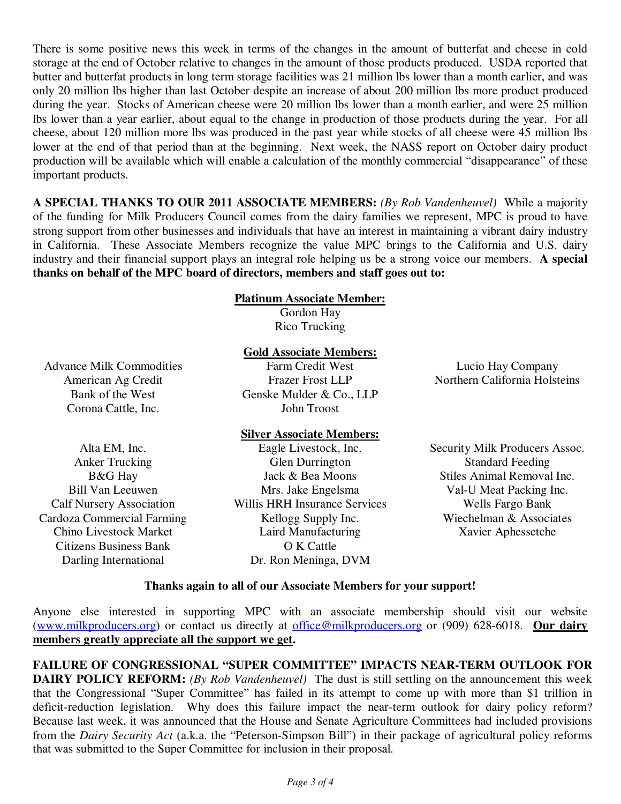There is some positive news this week in terms of the changes in the amount of butterfat and cheese in cold storage at the end of October relative to changes in the amount of those products produced. USDA reported that butter and butterfat products in long term storage facilities was 21 million lbs lower than a month earlier, and was only 20 million lbs higher than last October despite an increase of about 200 million lbs more product produced during the year. Stocks of American cheese were 20 million lbs lower than a month earlier, and were 25 million lbs lower than a year earlier, about equal to the change in production of those products during the year. For all cheese, about 120 million more lbs was produced in the past year while stocks of all cheese were 45 million lbs lower at the end of that period than at the beginning. Next week, the NASS report on October dairy product production will be available which will enable a calculation of the monthly commercial "disappearance" of these important products.

**A SPECIAL THANKS TO OUR 2011 ASSOCIATE MEMBERS:** *(By Rob Vandenheuvel)* While a majority of the funding for Milk Producers Council comes from the dairy families we represent, MPC is proud to have strong support from other businesses and individuals that have an interest in maintaining a vibrant dairy industry in California. These Associate Members recognize the value MPC brings to the California and U.S. dairy industry and their financial support plays an integral role helping us be a strong voice our members. **A special thanks on behalf of the MPC board of directors, members and staff goes out to:** 

#### **Platinum Associate Member:**

Gordon Hay Rico Trucking

#### **Gold Associate Members:**

Advance Milk Commodities American Ag Credit Bank of the West Corona Cattle, Inc.

Farm Credit West Frazer Frost LLP Genske Mulder & Co., LLP John Troost

## Northern California Holsteins

Lucio Hay Company

#### **Silver Associate Members:** Eagle Livestock, Inc.

Alta EM, Inc. Anker Trucking B&G Hay Bill Van Leeuwen Calf Nursery Association Cardoza Commercial Farming Chino Livestock Market Citizens Business Bank Darling International

Glen Durrington Jack & Bea Moons Mrs. Jake Engelsma Willis HRH Insurance Services Kellogg Supply Inc. Laird Manufacturing O K Cattle Dr. Ron Meninga, DVM

Security Milk Producers Assoc. Standard Feeding Stiles Animal Removal Inc. Val-U Meat Packing Inc. Wells Fargo Bank Wiechelman & Associates Xavier Aphessetche

#### **Thanks again to all of our Associate Members for your support!**

Anyone else interested in supporting MPC with an associate membership should visit our website (www.milkproducers.org) or contact us directly at office@milkproducers.org or (909) 628-6018. **Our dairy members greatly appreciate all the support we get.** 

**FAILURE OF CONGRESSIONAL "SUPER COMMITTEE" IMPACTS NEAR-TERM OUTLOOK FOR DAIRY POLICY REFORM:** *(By Rob Vandenheuvel)* The dust is still settling on the announcement this week that the Congressional "Super Committee" has failed in its attempt to come up with more than \$1 trillion in deficit-reduction legislation. Why does this failure impact the near-term outlook for dairy policy reform? Because last week, it was announced that the House and Senate Agriculture Committees had included provisions from the *Dairy Security Act* (a.k.a. the "Peterson-Simpson Bill") in their package of agricultural policy reforms that was submitted to the Super Committee for inclusion in their proposal.